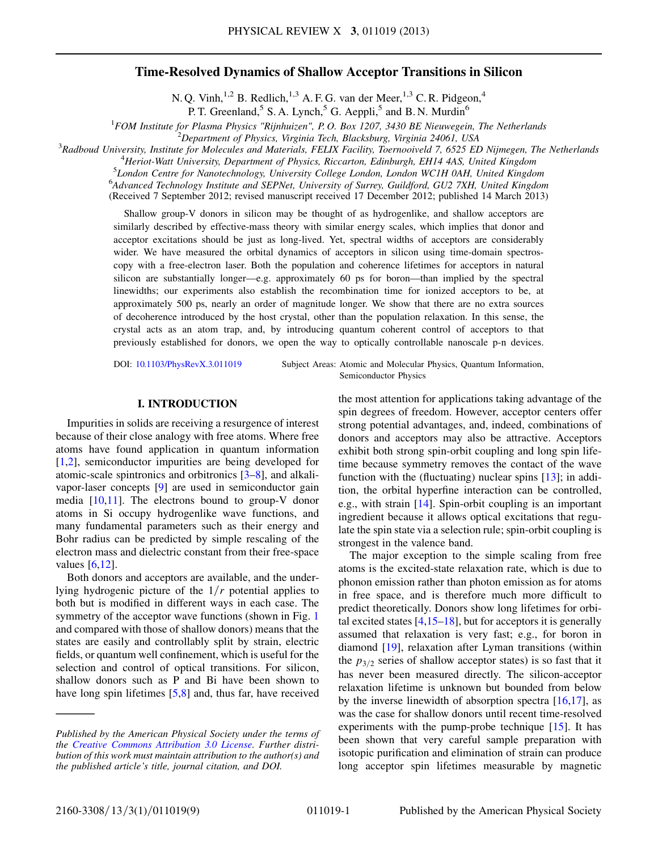# Time-Resolved Dynamics of Shallow Acceptor Transitions in Silicon

N. Q. Vinh,<sup>1,2</sup> B. Redlich,<sup>1,3</sup> A. F. G. van der Meer,<sup>1,3</sup> C. R. Pidgeon,<sup>4</sup> P. T. Greenland,<sup>5</sup> S. A. Lynch,<sup>5</sup> G. Aeppli,<sup>5</sup> and B. N. Murdin<sup>6</sup>

<sup>1</sup>FOM Institute for Plasma Physics "Rijnhuizen", P.O. Box 1207, 3430 BE Nieuwegein, The Netherlands<sup>2</sup> Department of Physics Virginia Tech Plagksburg Virginia 24061, USA

<sup>2</sup> Department of Physics, Virginia Tech, Blacksburg, Virginia 24061, USA<br><sup>3</sup> Radboud University, Institute for Molecules and Materials, EELIX Eacility, Toernooiyeld 7, 6525 EI Radboud University, Institute for Molecules and Materials, FELIX Facility, Toernooiveld 7, 6525 ED Nijmegen, The Netherlands<br><sup>4</sup>Heriot Watt University Department of Physics, Biccarton, Edinburgh, EHJA AAS, United Kingdom

 $^{4}$ Heriot-Watt University, Department of Physics, Riccarton, Edinburgh, EH14 4AS, United Kingdom

<sup>5</sup>London Centre for Nanotechnology, University College London, London WC1H 0AH, United Kingdom

<sup>6</sup>Advanced Technology Institute and SEPNet, University of Surrey, Guildford, GU2 7XH, United Kingdom (Received 7 September 2012; revised manuscript received 17 December 2012; published 14 March 2013)

Shallow group-V donors in silicon may be thought of as hydrogenlike, and shallow acceptors are similarly described by effective-mass theory with similar energy scales, which implies that donor and acceptor excitations should be just as long-lived. Yet, spectral widths of acceptors are considerably wider. We have measured the orbital dynamics of acceptors in silicon using time-domain spectroscopy with a free-electron laser. Both the population and coherence lifetimes for acceptors in natural silicon are substantially longer—e.g. approximately 60 ps for boron—than implied by the spectral linewidths; our experiments also establish the recombination time for ionized acceptors to be, at approximately 500 ps, nearly an order of magnitude longer. We show that there are no extra sources of decoherence introduced by the host crystal, other than the population relaxation. In this sense, the crystal acts as an atom trap, and, by introducing quantum coherent control of acceptors to that previously established for donors, we open the way to optically controllable nanoscale p-n devices.

DOI: [10.1103/PhysRevX.3.011019](http://dx.doi.org/10.1103/PhysRevX.3.011019) Subject Areas: Atomic and Molecular Physics, Quantum Information, Semiconductor Physics

#### I. INTRODUCTION

Impurities in solids are receiving a resurgence of interest because of their close analogy with free atoms. Where free atoms have found application in quantum information [\[1,](#page-7-0)[2](#page-7-1)], semiconductor impurities are being developed for atomic-scale spintronics and orbitronics [\[3](#page-7-2)–[8\]](#page-8-0), and alkalivapor-laser concepts [\[9\]](#page-8-1) are used in semiconductor gain media [[10](#page-8-2),[11](#page-8-3)]. The electrons bound to group-V donor atoms in Si occupy hydrogenlike wave functions, and many fundamental parameters such as their energy and Bohr radius can be predicted by simple rescaling of the electron mass and dielectric constant from their free-space values [\[6](#page-7-3),[12](#page-8-4)].

Both donors and acceptors are available, and the underlying hydrogenic picture of the  $1/r$  potential applies to both but is modified in different ways in each case. The symmetry of the acceptor wave functions (shown in Fig. [1](#page-1-0)) and compared with those of shallow donors) means that the states are easily and controllably split by strain, electric fields, or quantum well confinement, which is useful for the selection and control of optical transitions. For silicon, shallow donors such as P and Bi have been shown to have long spin lifetimes [[5](#page-7-4)[,8\]](#page-8-0) and, thus far, have received

the most attention for applications taking advantage of the spin degrees of freedom. However, acceptor centers offer strong potential advantages, and, indeed, combinations of donors and acceptors may also be attractive. Acceptors exhibit both strong spin-orbit coupling and long spin lifetime because symmetry removes the contact of the wave function with the (fluctuating) nuclear spins [\[13\]](#page-8-5); in addition, the orbital hyperfine interaction can be controlled, e.g., with strain [[14](#page-8-6)]. Spin-orbit coupling is an important ingredient because it allows optical excitations that regulate the spin state via a selection rule; spin-orbit coupling is strongest in the valence band.

The major exception to the simple scaling from free atoms is the excited-state relaxation rate, which is due to phonon emission rather than photon emission as for atoms in free space, and is therefore much more difficult to predict theoretically. Donors show long lifetimes for orbital excited states  $[4,15-18]$  $[4,15-18]$  $[4,15-18]$  $[4,15-18]$ , but for acceptors it is generally assumed that relaxation is very fast; e.g., for boron in diamond [\[19\]](#page-8-9), relaxation after Lyman transitions (within the  $p_{3/2}$  series of shallow acceptor states) is so fast that it has never been measured directly. The silicon-acceptor relaxation lifetime is unknown but bounded from below by the inverse linewidth of absorption spectra  $[16,17]$  $[16,17]$ , as was the case for shallow donors until recent time-resolved experiments with the pump-probe technique [[15\]](#page-8-7). It has been shown that very careful sample preparation with isotopic purification and elimination of strain can produce long acceptor spin lifetimes measurable by magnetic

Published by the American Physical Society under the terms of the [Creative Commons Attribution 3.0 License.](http://creativecommons.org/licenses/by/3.0/) Further distribution of this work must maintain attribution to the author(s) and the published article's title, journal citation, and DOI.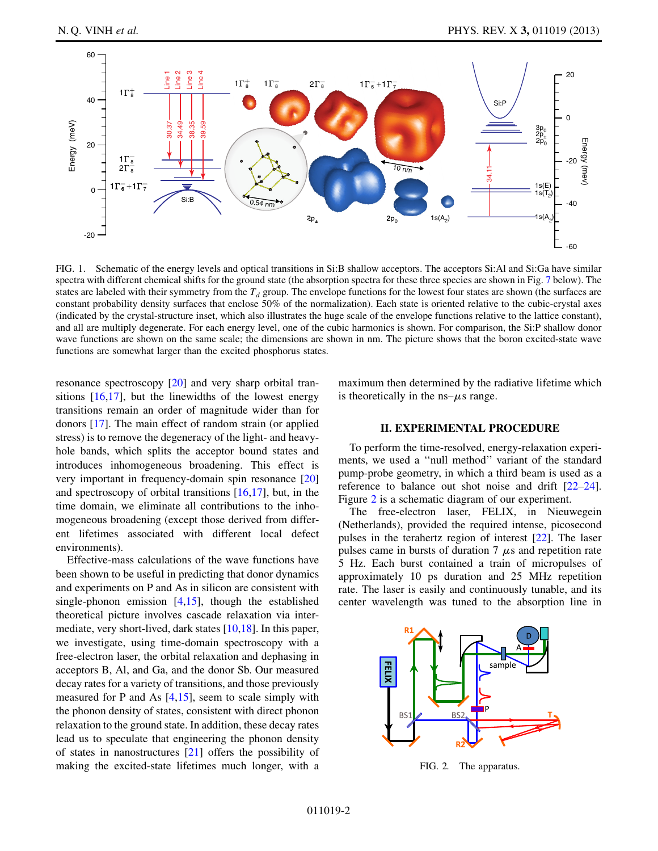<span id="page-1-0"></span>

FIG. 1. Schematic of the energy levels and optical transitions in Si:B shallow acceptors. The acceptors Si:Al and Si:Ga have similar spectra with different chemical shifts for the ground state (the absorption spectra for these three species are shown in Fig. [7](#page-6-0) below). The states are labeled with their symmetry from the  $T<sub>d</sub>$  group. The envelope functions for the lowest four states are shown (the surfaces are constant probability density surfaces that enclose 50% of the normalization). Each state is oriented relative to the cubic-crystal axes (indicated by the crystal-structure inset, which also illustrates the huge scale of the envelope functions relative to the lattice constant), and all are multiply degenerate. For each energy level, one of the cubic harmonics is shown. For comparison, the Si:P shallow donor wave functions are shown on the same scale; the dimensions are shown in nm. The picture shows that the boron excited-state wave functions are somewhat larger than the excited phosphorus states.

resonance spectroscopy [[20](#page-8-12)] and very sharp orbital transitions  $[16,17]$  $[16,17]$  $[16,17]$  $[16,17]$ , but the linewidths of the lowest energy transitions remain an order of magnitude wider than for donors [[17](#page-8-11)]. The main effect of random strain (or applied stress) is to remove the degeneracy of the light- and heavyhole bands, which splits the acceptor bound states and introduces inhomogeneous broadening. This effect is very important in frequency-domain spin resonance [\[20\]](#page-8-12) and spectroscopy of orbital transitions  $[16,17]$  $[16,17]$  $[16,17]$  $[16,17]$ , but, in the time domain, we eliminate all contributions to the inhomogeneous broadening (except those derived from different lifetimes associated with different local defect environments).

Effective-mass calculations of the wave functions have been shown to be useful in predicting that donor dynamics and experiments on P and As in silicon are consistent with single-phonon emission  $[4,15]$  $[4,15]$  $[4,15]$ , though the established theoretical picture involves cascade relaxation via intermediate, very short-lived, dark states [\[10](#page-8-2)[,18\]](#page-8-8). In this paper, we investigate, using time-domain spectroscopy with a free-electron laser, the orbital relaxation and dephasing in acceptors B, Al, and Ga, and the donor Sb. Our measured decay rates for a variety of transitions, and those previously measured for P and As  $[4,15]$  $[4,15]$ , seem to scale simply with the phonon density of states, consistent with direct phonon relaxation to the ground state. In addition, these decay rates lead us to speculate that engineering the phonon density of states in nanostructures [\[21\]](#page-8-13) offers the possibility of making the excited-state lifetimes much longer, with a

maximum then determined by the radiative lifetime which is theoretically in the  $ns-\mu s$  range.

#### II. EXPERIMENTAL PROCEDURE

To perform the time-resolved, energy-relaxation experiments, we used a ''null method'' variant of the standard pump-probe geometry, in which a third beam is used as a reference to balance out shot noise and drift [[22](#page-8-14)–[24\]](#page-8-15). Figure [2](#page-1-1) is a schematic diagram of our experiment.

The free-electron laser, FELIX, in Nieuwegein (Netherlands), provided the required intense, picosecond pulses in the terahertz region of interest [[22](#page-8-14)]. The laser pulses came in bursts of duration  $7 \mu s$  and repetition rate 5 Hz. Each burst contained a train of micropulses of approximately 10 ps duration and 25 MHz repetition rate. The laser is easily and continuously tunable, and its center wavelength was tuned to the absorption line in

<span id="page-1-1"></span>

FIG. 2. The apparatus.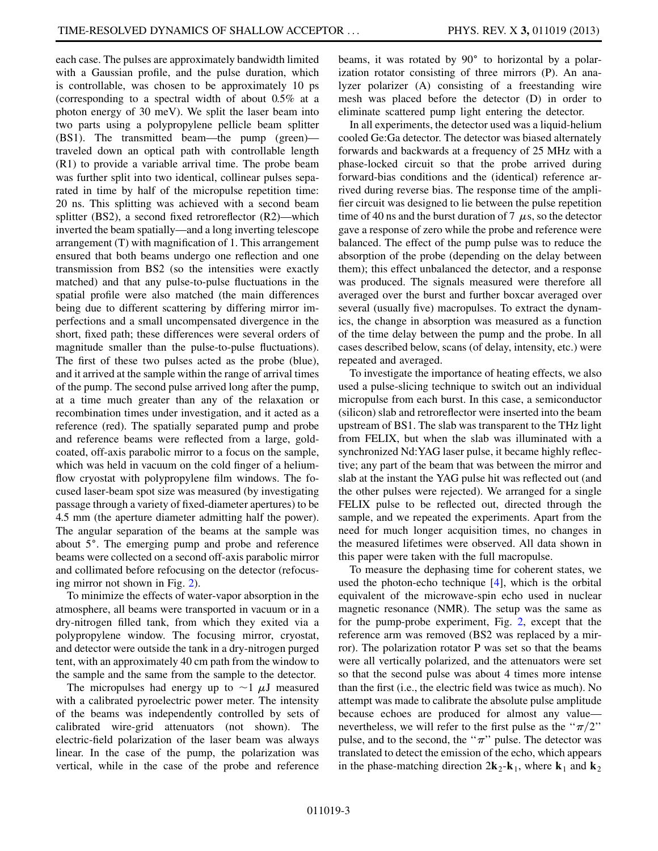each case. The pulses are approximately bandwidth limited with a Gaussian profile, and the pulse duration, which is controllable, was chosen to be approximately 10 ps (corresponding to a spectral width of about 0.5% at a photon energy of 30 meV). We split the laser beam into two parts using a polypropylene pellicle beam splitter (BS1). The transmitted beam—the pump (green) traveled down an optical path with controllable length (R1) to provide a variable arrival time. The probe beam was further split into two identical, collinear pulses separated in time by half of the micropulse repetition time: 20 ns. This splitting was achieved with a second beam splitter (BS2), a second fixed retroreflector (R2)—which inverted the beam spatially—and a long inverting telescope arrangement (T) with magnification of 1. This arrangement ensured that both beams undergo one reflection and one transmission from BS2 (so the intensities were exactly matched) and that any pulse-to-pulse fluctuations in the spatial profile were also matched (the main differences being due to different scattering by differing mirror imperfections and a small uncompensated divergence in the short, fixed path; these differences were several orders of magnitude smaller than the pulse-to-pulse fluctuations). The first of these two pulses acted as the probe (blue), and it arrived at the sample within the range of arrival times of the pump. The second pulse arrived long after the pump, at a time much greater than any of the relaxation or recombination times under investigation, and it acted as a reference (red). The spatially separated pump and probe and reference beams were reflected from a large, goldcoated, off-axis parabolic mirror to a focus on the sample, which was held in vacuum on the cold finger of a heliumflow cryostat with polypropylene film windows. The focused laser-beam spot size was measured (by investigating passage through a variety of fixed-diameter apertures) to be 4.5 mm (the aperture diameter admitting half the power). The angular separation of the beams at the sample was about 5°. The emerging pump and probe and reference beams were collected on a second off-axis parabolic mirror and collimated before refocusing on the detector (refocusing mirror not shown in Fig. [2\)](#page-1-1).

To minimize the effects of water-vapor absorption in the atmosphere, all beams were transported in vacuum or in a dry-nitrogen filled tank, from which they exited via a polypropylene window. The focusing mirror, cryostat, and detector were outside the tank in a dry-nitrogen purged tent, with an approximately 40 cm path from the window to the sample and the same from the sample to the detector.

The micropulses had energy up to  $\sim$ 1  $\mu$ J measured<br>th a calibrated pyroelectric power meter. The intensity with a calibrated pyroelectric power meter. The intensity of the beams was independently controlled by sets of calibrated wire-grid attenuators (not shown). The electric-field polarization of the laser beam was always linear. In the case of the pump, the polarization was vertical, while in the case of the probe and reference beams, it was rotated by  $90^\circ$  to horizontal by a polarization rotator consisting of three mirrors (P). An analyzer polarizer (A) consisting of a freestanding wire mesh was placed before the detector (D) in order to eliminate scattered pump light entering the detector.

In all experiments, the detector used was a liquid-helium cooled Ge:Ga detector. The detector was biased alternately forwards and backwards at a frequency of 25 MHz with a phase-locked circuit so that the probe arrived during forward-bias conditions and the (identical) reference arrived during reverse bias. The response time of the amplifier circuit was designed to lie between the pulse repetition time of 40 ns and the burst duration of 7  $\mu$ s, so the detector gave a response of zero while the probe and reference were balanced. The effect of the pump pulse was to reduce the absorption of the probe (depending on the delay between them); this effect unbalanced the detector, and a response was produced. The signals measured were therefore all averaged over the burst and further boxcar averaged over several (usually five) macropulses. To extract the dynamics, the change in absorption was measured as a function of the time delay between the pump and the probe. In all cases described below, scans (of delay, intensity, etc.) were repeated and averaged.

To investigate the importance of heating effects, we also used a pulse-slicing technique to switch out an individual micropulse from each burst. In this case, a semiconductor (silicon) slab and retroreflector were inserted into the beam upstream of BS1. The slab was transparent to the THz light from FELIX, but when the slab was illuminated with a synchronized Nd:YAG laser pulse, it became highly reflective; any part of the beam that was between the mirror and slab at the instant the YAG pulse hit was reflected out (and the other pulses were rejected). We arranged for a single FELIX pulse to be reflected out, directed through the sample, and we repeated the experiments. Apart from the need for much longer acquisition times, no changes in the measured lifetimes were observed. All data shown in this paper were taken with the full macropulse.

To measure the dephasing time for coherent states, we used the photon-echo technique [[4\]](#page-7-5), which is the orbital equivalent of the microwave-spin echo used in nuclear magnetic resonance (NMR). The setup was the same as for the pump-probe experiment, Fig. [2,](#page-1-1) except that the reference arm was removed (BS2 was replaced by a mirror). The polarization rotator P was set so that the beams were all vertically polarized, and the attenuators were set so that the second pulse was about 4 times more intense than the first (i.e., the electric field was twice as much). No attempt was made to calibrate the absolute pulse amplitude because echoes are produced for almost any value nevertheless, we will refer to the first pulse as the " $\pi/2$ " pulse, and to the second, the " $\pi$ " pulse. The detector was translated to detect the emission of the echo, which appears in the phase-matching direction  $2\mathbf{k}_2 - \mathbf{k}_1$ , where  $\mathbf{k}_1$  and  $\mathbf{k}_2$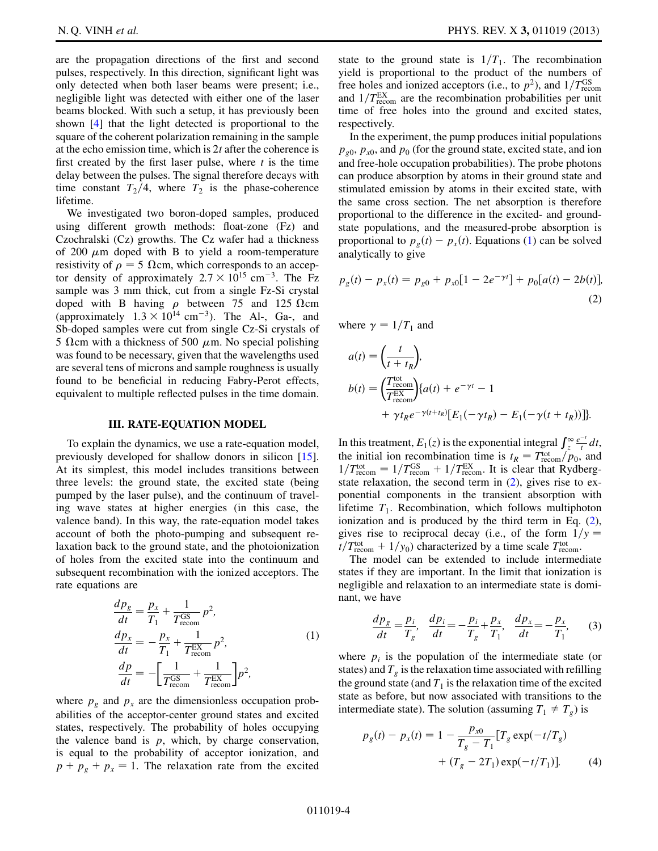are the propagation directions of the first and second pulses, respectively. In this direction, significant light was only detected when both laser beams were present; i.e., negligible light was detected with either one of the laser beams blocked. With such a setup, it has previously been shown [\[4](#page-7-5)] that the light detected is proportional to the square of the coherent polarization remaining in the sample at the echo emission time, which is 2t after the coherence is first created by the first laser pulse, where  $t$  is the time delay between the pulses. The signal therefore decays with time constant  $T_2/4$ , where  $T_2$  is the phase-coherence lifetime.

We investigated two boron-doped samples, produced using different growth methods: float-zone (Fz) and Czochralski (Cz) growths. The Cz wafer had a thickness of 200  $\mu$ m doped with B to yield a room-temperature resistivity of  $\rho = 5$  Ωcm, which corresponds to an acceptor density of approximately  $2.7 \times 10^{15}$  cm<sup>-3</sup>. The Fz sample was 3 mm thick, cut from a single Fz-Si crystal doped with B having  $\rho$  between 75 and 125  $\Omega$ cm (approximately  $1.3 \times 10^{14}$  cm<sup>-3</sup>). The Al-, Ga-, and Sb-doped samples were cut from single Cz-Si crystals of 5  $\Omega$ cm with a thickness of 500  $\mu$ m. No special polishing was found to be necessary, given that the wavelengths used are several tens of microns and sample roughness is usually found to be beneficial in reducing Fabry-Perot effects, equivalent to multiple reflected pulses in the time domain.

#### III. RATE-EQUATION MODEL

To explain the dynamics, we use a rate-equation model, previously developed for shallow donors in silicon [[15\]](#page-8-7). At its simplest, this model includes transitions between three levels: the ground state, the excited state (being pumped by the laser pulse), and the continuum of traveling wave states at higher energies (in this case, the valence band). In this way, the rate-equation model takes account of both the photo-pumping and subsequent relaxation back to the ground state, and the photoionization of holes from the excited state into the continuum and subsequent recombination with the ionized acceptors. The rate equations are

<span id="page-3-0"></span>
$$
\frac{dp_g}{dt} = \frac{p_x}{T_1} + \frac{1}{T_{\text{recom}}^{\text{GS}}} p^2,
$$
\n
$$
\frac{dp_x}{dt} = -\frac{p_x}{T_1} + \frac{1}{T_{\text{recom}}^{\text{EX}}} p^2,
$$
\n
$$
\frac{dp}{dt} = -\left[\frac{1}{T_{\text{recom}}^{\text{GS}}} + \frac{1}{T_{\text{recom}}^{\text{EX}}}\right] p^2,
$$
\n(1)

where  $p_g$  and  $p_x$  are the dimensionless occupation probabilities of the acceptor-center ground states and excited states, respectively. The probability of holes occupying the valence band is  $p$ , which, by charge conservation, is equal to the probability of acceptor ionization, and  $p + p_g + p_x = 1$ . The relaxation rate from the excited state to the ground state is  $1/T_1$ . The recombination yield is proportional to the product of the numbers of free holes and ionized acceptors (i.e., to  $p^2$ ), and  $1/T_{\text{recom}}^{\text{GS}}$ and  $1/T_{\text{recom}}^{\text{EX}}$  are the recombination probabilities per unit time of free holes into the ground and excited states, respectively.

In the experiment, the pump produces initial populations  $p_{g0}, p_{x0}$ , and  $p_0$  (for the ground state, excited state, and ion and free-hole occupation probabilities). The probe photons can produce absorption by atoms in their ground state and stimulated emission by atoms in their excited state, with the same cross section. The net absorption is therefore proportional to the difference in the excited- and groundstate populations, and the measured-probe absorption is proportional to  $p_g(t) - p_x(t)$ . Equations ([1\)](#page-3-0) can be solved analytically to give

<span id="page-3-1"></span>
$$
p_g(t) - p_x(t) = p_{g0} + p_{x0}[1 - 2e^{-\gamma t}] + p_0[a(t) - 2b(t)],
$$
\n(2)

where  $\gamma = 1/T_1$  and

$$
a(t) = \left(\frac{t}{t + t_R}\right),
$$
  
\n
$$
b(t) = \left(\frac{T_{\text{recom}}^{\text{tot}}}{T_{\text{recom}}^{\text{EX}}}\right) \{a(t) + e^{-\gamma t} - 1
$$
  
\n
$$
+ \gamma t_R e^{-\gamma (t + t_R)} [E_1(-\gamma t_R) - E_1(-\gamma (t + t_R))]].
$$

In this treatment,  $E_1(z)$  is the exponential integral  $\int_{z}^{\infty} \frac{e^{-t}}{t} dt$ ,<br>the initial ion recombination time is  $t_0 = T^{\text{tot}}$  ( $r_0$  and the initial ion recombination time is  $t_R = T_{\text{recon}}^{\text{tot}}/p_0$ , and  $T/T^{\text{tot}} = T/T^{\text{GS}} + T/T^{\text{EX}}$  It is clear that Rydberg- $1/T_{\text{recom}}^{\text{tot}} = 1/T_{\text{recom}}^{\text{GS}} + 1/T_{\text{recom}}^{\text{EX}}$ . It is clear that Rydberg-<br>state relaxation, the second term in (2), gives rise to exstate relaxation, the second term in ([2](#page-3-1)), gives rise to exponential components in the transient absorption with lifetime  $T_1$ . Recombination, which follows multiphoton ionization and is produced by the third term in Eq. ([2\)](#page-3-1), gives rise to reciprocal decay (i.e., of the form  $1/y =$  $t/T_{\text{recom}}^{\text{tot}} + 1/y_0$ ) characterized by a time scale  $T_{\text{recom}}^{\text{tot}}$ .<br>The model can be extended to include intermed

The model can be extended to include intermediate states if they are important. In the limit that ionization is negligible and relaxation to an intermediate state is dominant, we have

$$
\frac{dp_g}{dt} = \frac{p_i}{T_g}, \quad \frac{dp_i}{dt} = -\frac{p_i}{T_g} + \frac{p_x}{T_1}, \quad \frac{dp_x}{dt} = -\frac{p_x}{T_1}, \tag{3}
$$

where  $p_i$  is the population of the intermediate state (or states) and  $T_g$  is the relaxation time associated with refilling the ground state (and  $T_1$  is the relaxation time of the excited state as before, but now associated with transitions to the intermediate state). The solution (assuming  $T_1 \neq T_g$ ) is

<span id="page-3-2"></span>
$$
p_g(t) - p_x(t) = 1 - \frac{p_{x0}}{T_g - T_1} [T_g \exp(-t/T_g) + (T_g - 2T_1) \exp(-t/T_1)].
$$
 (4)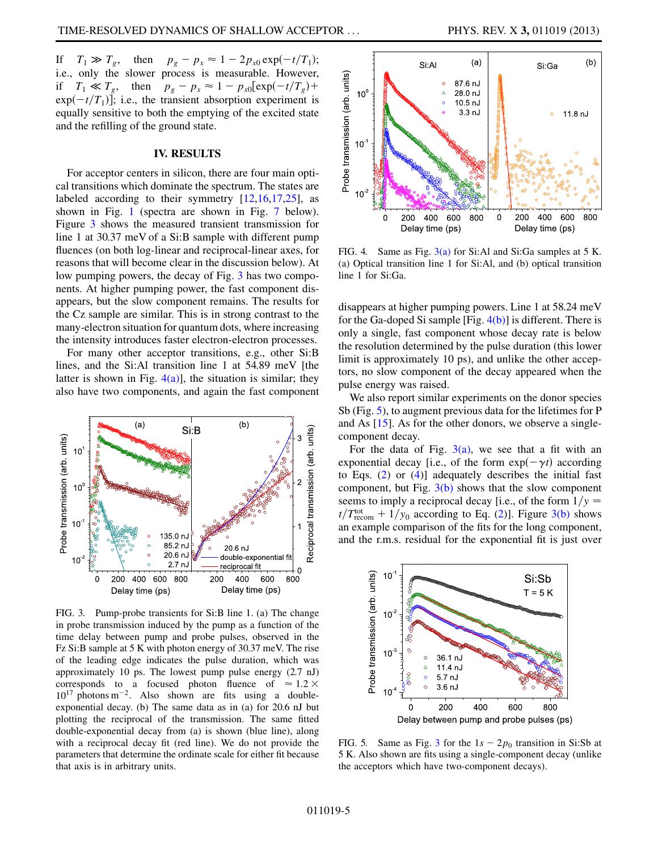If  $T_1 \gg T_g$ , then  $p_g - p_x \approx 1 - 2p_{x0} \exp(-t/T_1);$ i.e., only the slower process is measurable. However, if  $T_1 \ll T_g$ , then  $p_g - p_x \approx 1 - p_{x0} [\exp(-t/T_g) +$  $exp(-t/T_1)$ ; i.e., the transient absorption experiment is equally sensitive to both the emptying of the excited state and the refilling of the ground state.

## IV. RESULTS

For acceptor centers in silicon, there are four main optical transitions which dominate the spectrum. The states are labeled according to their symmetry  $[12,16,17,25]$  $[12,16,17,25]$  $[12,16,17,25]$  $[12,16,17,25]$  $[12,16,17,25]$  $[12,16,17,25]$  $[12,16,17,25]$  $[12,16,17,25]$  $[12,16,17,25]$ , as shown in Fig. [1](#page-1-0) (spectra are shown in Fig. [7](#page-6-0) below). Figure [3](#page-4-0) shows the measured transient transmission for line 1 at 30.37 meV of a Si:B sample with different pump fluences (on both log-linear and reciprocal-linear axes, for reasons that will become clear in the discussion below). At low pumping powers, the decay of Fig. [3](#page-4-0) has two components. At higher pumping power, the fast component disappears, but the slow component remains. The results for the Cz sample are similar. This is in strong contrast to the many-electron situation for quantum dots, where increasing the intensity introduces faster electron-electron processes.

For many other acceptor transitions, e.g., other Si:B lines, and the Si:Al transition line 1 at 54.89 meV [the latter is shown in Fig.  $4(a)$ ], the situation is similar; they also have two components, and again the fast component

<span id="page-4-0"></span>

<span id="page-4-3"></span>FIG. 3. Pump-probe transients for Si:B line 1. (a) The change in probe transmission induced by the pump as a function of the time delay between pump and probe pulses, observed in the Fz Si:B sample at 5 K with photon energy of 30.37 meV. The rise of the leading edge indicates the pulse duration, which was approximately 10 ps. The lowest pump pulse energy (2.7 nJ) corresponds to a focused photon fluence of  $\approx 1.2 \times$  $10^{17}$  photons m<sup>-2</sup>. Also shown are fits using a doubleexponential decay. (b) The same data as in (a) for 20.6 nJ but plotting the reciprocal of the transmission. The same fitted double-exponential decay from (a) is shown (blue line), along with a reciprocal decay fit (red line). We do not provide the parameters that determine the ordinate scale for either fit because that axis is in arbitrary units.



<span id="page-4-1"></span>FIG. 4. Same as Fig. [3\(a\)](#page-4-3) for Si:Al and Si:Ga samples at 5 K. (a) Optical transition line 1 for Si:Al, and (b) optical transition line 1 for Si:Ga.

disappears at higher pumping powers. Line 1 at 58.24 meV for the Ga-doped Si sample  $[Fig. 4(b)]$  $[Fig. 4(b)]$  is different. There is only a single, fast component whose decay rate is below the resolution determined by the pulse duration (this lower limit is approximately 10 ps), and unlike the other acceptors, no slow component of the decay appeared when the pulse energy was raised.

We also report similar experiments on the donor species Sb (Fig. [5\)](#page-4-2), to augment previous data for the lifetimes for P and As [[15](#page-8-7)]. As for the other donors, we observe a singlecomponent decay.

For the data of Fig.  $3(a)$ , we see that a fit with an exponential decay [i.e., of the form  $exp(-\gamma t)$  according to Eqs.  $(2)$  $(2)$  $(2)$  or  $(4)$  $(4)$  $(4)$ ] adequately describes the initial fast component, but Fig.  $3(b)$  shows that the slow component seems to imply a reciprocal decay [i.e., of the form  $1/y =$  $t/T_{\text{recom}}^{\text{tot}} + 1/y_0$  according to Eq. ([2\)](#page-3-1)]. Figure [3\(b\)](#page-4-3) shows<br>an example comparison of the fits for the long component an example comparison of the fits for the long component, and the r.m.s. residual for the exponential fit is just over

<span id="page-4-2"></span>

FIG. 5. Same as Fig. [3](#page-4-0) for the  $1s - 2p_0$  transition in Si:Sb at 5 K. Also shown are fits using a single-component decay (unlike the acceptors which have two-component decays).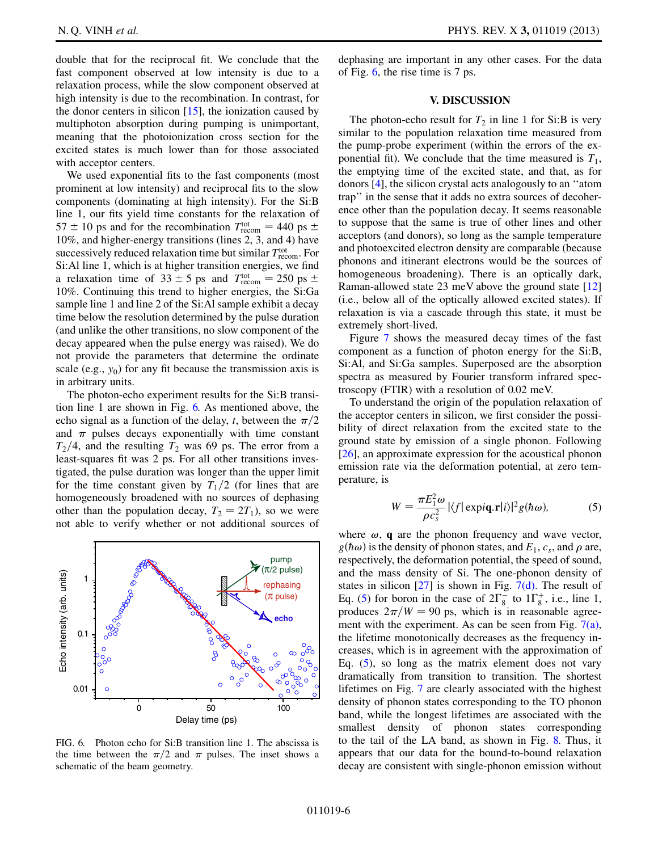double that for the reciprocal fit. We conclude that the fast component observed at low intensity is due to a relaxation process, while the slow component observed at high intensity is due to the recombination. In contrast, for the donor centers in silicon  $[15]$ , the ionization caused by multiphoton absorption during pumping is unimportant, meaning that the photoionization cross section for the excited states is much lower than for those associated with acceptor centers.

We used exponential fits to the fast components (most prominent at low intensity) and reciprocal fits to the slow components (dominating at high intensity). For the Si:B line 1, our fits yield time constants for the relaxation of  $57 \pm 10$  ps and for the recombination  $T_{\text{recom}}^{\text{tot}} = 440$  ps  $\pm$ <br>10% and higher-energy transitions (lines 2, 3, and 4) have 10%, and higher-energy transitions (lines 2, 3, and 4) have successively reduced relaxation time but similar  $T_{\text{recom}}^{\text{tot}}$ . For Si:Al line 1, which is at higher transition energies, we find a relaxation time of  $33 \pm 5$  ps and  $T_{\text{recom}}^{\text{tot}} = 250$  ps  $\pm$ <br>10% Continuing this trend to higher energies the Si:Ga 10%. Continuing this trend to higher energies, the Si:Ga sample line 1 and line 2 of the Si:Al sample exhibit a decay time below the resolution determined by the pulse duration (and unlike the other transitions, no slow component of the decay appeared when the pulse energy was raised). We do not provide the parameters that determine the ordinate scale (e.g.,  $y_0$ ) for any fit because the transmission axis is in arbitrary units.

The photon-echo experiment results for the Si:B transition line 1 are shown in Fig. [6.](#page-5-0) As mentioned above, the echo signal as a function of the delay, t, between the  $\pi/2$ and  $\pi$  pulses decays exponentially with time constant  $T_2/4$ , and the resulting  $T_2$  was 69 ps. The error from a least-squares fit was 2 ps. For all other transitions investigated, the pulse duration was longer than the upper limit for the time constant given by  $T_1/2$  (for lines that are homogeneously broadened with no sources of dephasing other than the population decay,  $T_2 = 2T_1$ ), so we were not able to verify whether or not additional sources of

<span id="page-5-0"></span>

FIG. 6. Photon echo for Si:B transition line 1. The abscissa is the time between the  $\pi/2$  and  $\pi$  pulses. The inset shows a schematic of the beam geometry.

dephasing are important in any other cases. For the data of Fig. [6](#page-5-0), the rise time is 7 ps.

# V. DISCUSSION

The photon-echo result for  $T_2$  in line 1 for Si:B is very similar to the population relaxation time measured from the pump-probe experiment (within the errors of the exponential fit). We conclude that the time measured is  $T_1$ , the emptying time of the excited state, and that, as for donors [\[4](#page-7-5)], the silicon crystal acts analogously to an ''atom trap'' in the sense that it adds no extra sources of decoherence other than the population decay. It seems reasonable to suppose that the same is true of other lines and other acceptors (and donors), so long as the sample temperature and photoexcited electron density are comparable (because phonons and itinerant electrons would be the sources of homogeneous broadening). There is an optically dark, Raman-allowed state 23 meV above the ground state [\[12\]](#page-8-4) (i.e., below all of the optically allowed excited states). If relaxation is via a cascade through this state, it must be extremely short-lived.

Figure [7](#page-6-0) shows the measured decay times of the fast component as a function of photon energy for the Si:B, Si:Al, and Si:Ga samples. Superposed are the absorption spectra as measured by Fourier transform infrared spectroscopy (FTIR) with a resolution of 0.02 meV.

To understand the origin of the population relaxation of the acceptor centers in silicon, we first consider the possibility of direct relaxation from the excited state to the ground state by emission of a single phonon. Following [\[26\]](#page-8-17), an approximate expression for the acoustical phonon emission rate via the deformation potential, at zero temperature, is

$$
W = \frac{\pi E_1^2 \omega}{\rho c_s^2} |\langle f| \exp(i\mathbf{q}.\mathbf{r}|i\rangle|^2 g(\hbar \omega), \tag{5}
$$

<span id="page-5-1"></span>where  $\omega$ , **q** are the phonon frequency and wave vector,  $g(h\omega)$  is the density of phonon states, and  $E_1, c_s$ , and  $\rho$  are, respectively, the deformation potential, the speed of sound, and the mass density of Si. The one-phonon density of states in silicon  $[27]$  is shown in Fig. [7\(d\).](#page-6-1) The result of Eq. [\(5\)](#page-5-1) for boron in the case of  $2\Gamma_8^-$  to  $1\Gamma_8^+$ , i.e., line 1, produces  $2\pi/W = 90$  ps, which is in reasonable agree-<br>ment with the experiment. As can be seen from Fig. 7(a) ment with the experiment. As can be seen from Fig.  $7(a)$ , the lifetime monotonically decreases as the frequency increases, which is in agreement with the approximation of Eq.  $(5)$  $(5)$ , so long as the matrix element does not vary dramatically from transition to transition. The shortest lifetimes on Fig. [7](#page-6-0) are clearly associated with the highest density of phonon states corresponding to the TO phonon band, while the longest lifetimes are associated with the smallest density of phonon states corresponding to the tail of the LA band, as shown in Fig. [8.](#page-6-2) Thus, it appears that our data for the bound-to-bound relaxation decay are consistent with single-phonon emission without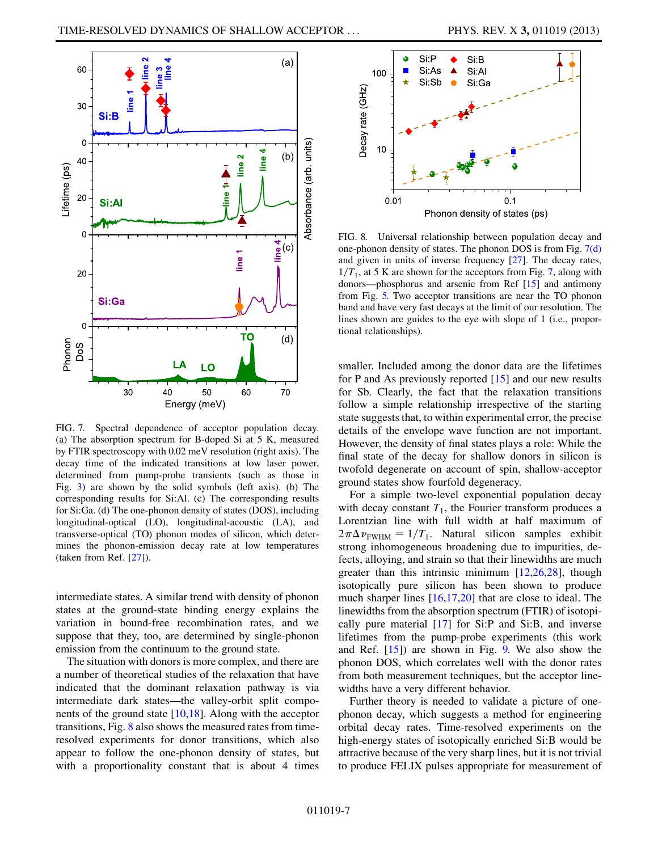<span id="page-6-0"></span>

<span id="page-6-1"></span>FIG. 7. Spectral dependence of acceptor population decay. (a) The absorption spectrum for B-doped Si at 5 K, measured by FTIR spectroscopy with 0.02 meV resolution (right axis). The decay time of the indicated transitions at low laser power, determined from pump-probe transients (such as those in Fig. [3](#page-4-0)) are shown by the solid symbols (left axis). (b) The corresponding results for Si:Al. (c) The corresponding results for Si:Ga. (d) The one-phonon density of states (DOS), including longitudinal-optical (LO), longitudinal-acoustic (LA), and transverse-optical (TO) phonon modes of silicon, which determines the phonon-emission decay rate at low temperatures (taken from Ref. [\[27\]](#page-8-18)).

intermediate states. A similar trend with density of phonon states at the ground-state binding energy explains the variation in bound-free recombination rates, and we suppose that they, too, are determined by single-phonon emission from the continuum to the ground state.

The situation with donors is more complex, and there are a number of theoretical studies of the relaxation that have indicated that the dominant relaxation pathway is via intermediate dark states—the valley-orbit split components of the ground state [[10,](#page-8-2)[18](#page-8-8)]. Along with the acceptor transitions, Fig. [8](#page-6-2) also shows the measured rates from timeresolved experiments for donor transitions, which also appear to follow the one-phonon density of states, but with a proportionality constant that is about 4 times

<span id="page-6-2"></span>

FIG. 8. Universal relationship between population decay and one-phonon density of states. The phonon DOS is from Fig. [7\(d\)](#page-6-1) and given in units of inverse frequency [[27](#page-8-18)]. The decay rates,  $1/T_1$ , at 5 K are shown for the acceptors from Fig. [7,](#page-6-0) along with donors—phosphorus and arsenic from Ref [[15](#page-8-7)] and antimony from Fig. [5.](#page-4-2) Two acceptor transitions are near the TO phonon band and have very fast decays at the limit of our resolution. The lines shown are guides to the eye with slope of 1 (i.e., proportional relationships).

smaller. Included among the donor data are the lifetimes for P and As previously reported [\[15\]](#page-8-7) and our new results for Sb. Clearly, the fact that the relaxation transitions follow a simple relationship irrespective of the starting state suggests that, to within experimental error, the precise details of the envelope wave function are not important. However, the density of final states plays a role: While the final state of the decay for shallow donors in silicon is twofold degenerate on account of spin, shallow-acceptor ground states show fourfold degeneracy.

For a simple two-level exponential population decay with decay constant  $T_1$ , the Fourier transform produces a Lorentzian line with full width at half maximum of  $2\pi\Delta\nu_{\text{FWHM}} = 1/T_1$ . Natural silicon samples exhibit<br>strong inhomogeneous broadening due to impurities destrong inhomogeneous broadening due to impurities, defects, alloying, and strain so that their linewidths are much greater than this intrinsic minimum [[12](#page-8-4)[,26](#page-8-17)[,28](#page-8-19)], though isotopically pure silicon has been shown to produce much sharper lines [\[16](#page-8-10)[,17](#page-8-11)[,20\]](#page-8-12) that are close to ideal. The linewidths from the absorption spectrum (FTIR) of isotopically pure material  $[17]$  for Si:P and Si:B, and inverse lifetimes from the pump-probe experiments (this work and Ref. [\[15\]](#page-8-7)) are shown in Fig. [9.](#page-7-6) We also show the phonon DOS, which correlates well with the donor rates from both measurement techniques, but the acceptor linewidths have a very different behavior.

Further theory is needed to validate a picture of onephonon decay, which suggests a method for engineering orbital decay rates. Time-resolved experiments on the high-energy states of isotopically enriched Si:B would be attractive because of the very sharp lines, but it is not trivial to produce FELIX pulses appropriate for measurement of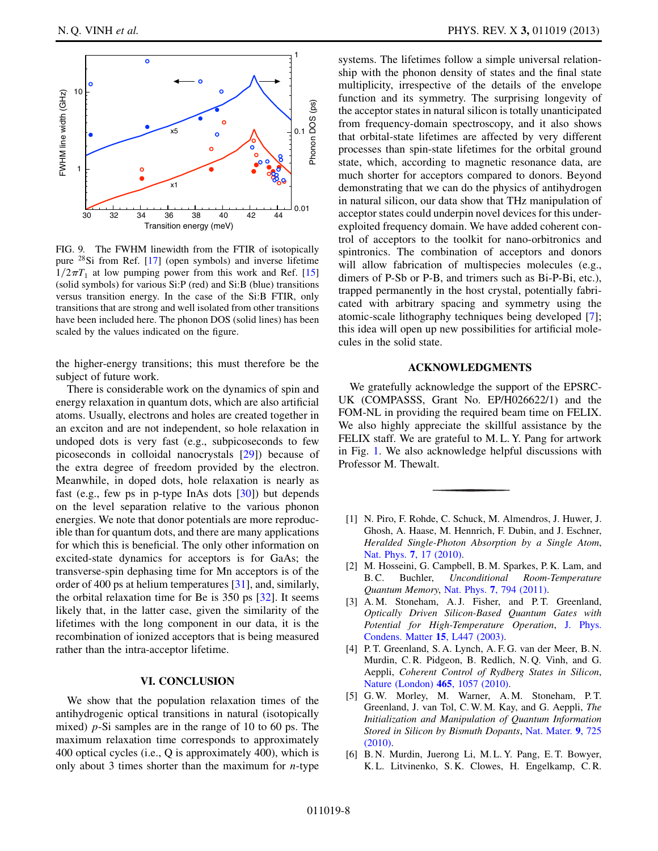<span id="page-7-6"></span>

FIG. 9. The FWHM linewidth from the FTIR of isotopically pure 28Si from Ref. [[17](#page-8-11)] (open symbols) and inverse lifetime  $1/2\pi T_1$  at low pumping power from this work and Ref. [\[15\]](#page-8-7) (solid symbols) for various Si:P (red) and Si:B (blue) transitions versus transition energy. In the case of the Si:B FTIR, only transitions that are strong and well isolated from other transitions have been included here. The phonon DOS (solid lines) has been scaled by the values indicated on the figure.

the higher-energy transitions; this must therefore be the subject of future work.

There is considerable work on the dynamics of spin and energy relaxation in quantum dots, which are also artificial atoms. Usually, electrons and holes are created together in an exciton and are not independent, so hole relaxation in undoped dots is very fast (e.g., subpicoseconds to few picoseconds in colloidal nanocrystals [\[29\]](#page-8-20)) because of the extra degree of freedom provided by the electron. Meanwhile, in doped dots, hole relaxation is nearly as fast (e.g., few ps in p-type InAs dots [\[30\]](#page-8-21)) but depends on the level separation relative to the various phonon energies. We note that donor potentials are more reproducible than for quantum dots, and there are many applications for which this is beneficial. The only other information on excited-state dynamics for acceptors is for GaAs; the transverse-spin dephasing time for Mn acceptors is of the order of 400 ps at helium temperatures [[31](#page-8-22)], and, similarly, the orbital relaxation time for Be is 350 ps [[32](#page-8-23)]. It seems likely that, in the latter case, given the similarity of the lifetimes with the long component in our data, it is the recombination of ionized acceptors that is being measured rather than the intra-acceptor lifetime.

#### VI. CONCLUSION

We show that the population relaxation times of the antihydrogenic optical transitions in natural (isotopically mixed)  $p$ -Si samples are in the range of 10 to 60 ps. The maximum relaxation time corresponds to approximately 400 optical cycles (i.e., Q is approximately 400), which is only about 3 times shorter than the maximum for  $n$ -type systems. The lifetimes follow a simple universal relationship with the phonon density of states and the final state multiplicity, irrespective of the details of the envelope function and its symmetry. The surprising longevity of the acceptor states in natural silicon is totally unanticipated from frequency-domain spectroscopy, and it also shows that orbital-state lifetimes are affected by very different processes than spin-state lifetimes for the orbital ground state, which, according to magnetic resonance data, are much shorter for acceptors compared to donors. Beyond demonstrating that we can do the physics of antihydrogen in natural silicon, our data show that THz manipulation of acceptor states could underpin novel devices for this underexploited frequency domain. We have added coherent control of acceptors to the toolkit for nano-orbitronics and spintronics. The combination of acceptors and donors will allow fabrication of multispecies molecules (e.g., dimers of P-Sb or P-B, and trimers such as Bi-P-Bi, etc.), trapped permanently in the host crystal, potentially fabricated with arbitrary spacing and symmetry using the atomic-scale lithography techniques being developed [\[7\]](#page-8-24); this idea will open up new possibilities for artificial molecules in the solid state.

## ACKNOWLEDGMENTS

We gratefully acknowledge the support of the EPSRC-UK (COMPASSS, Grant No. EP/H026622/1) and the FOM-NL in providing the required beam time on FELIX. We also highly appreciate the skillful assistance by the FELIX staff. We are grateful to M. L. Y. Pang for artwork in Fig. [1.](#page-1-0) We also acknowledge helpful discussions with Professor M. Thewalt.

- <span id="page-7-0"></span>[1] N. Piro, F. Rohde, C. Schuck, M. Almendros, J. Huwer, J. Ghosh, A. Haase, M. Hennrich, F. Dubin, and J. Eschner, Heralded Single-Photon Absorption by a Single Atom, Nat. Phys. 7[, 17 \(2010\).](http://dx.doi.org/10.1038/nphys1805)
- <span id="page-7-1"></span>[2] M. Hosseini, G. Campbell, B. M. Sparkes, P. K. Lam, and B. C. Buchler, Unconditional Room-Temperature Quantum Memory, Nat. Phys. 7[, 794 \(2011\).](http://dx.doi.org/10.1038/nphys2021)
- <span id="page-7-2"></span>[3] A. M. Stoneham, A. J. Fisher, and P. T. Greenland, Optically Driven Silicon-Based Quantum Gates with Potential for High-Temperature Operation, [J. Phys.](http://dx.doi.org/10.1088/0953-8984/15/27/102) [Condens. Matter](http://dx.doi.org/10.1088/0953-8984/15/27/102) 15, L447 (2003).
- <span id="page-7-5"></span>[4] P. T. Greenland, S. A. Lynch, A. F. G. van der Meer, B. N. Murdin, C. R. Pidgeon, B. Redlich, N. Q. Vinh, and G. Aeppli, Coherent Control of Rydberg States in Silicon, [Nature \(London\)](http://dx.doi.org/10.1038/nature09112) 465, 1057 (2010).
- <span id="page-7-4"></span>[5] G.W. Morley, M. Warner, A.M. Stoneham, P.T. Greenland, J. van Tol, C. W. M. Kay, and G. Aeppli, The Initialization and Manipulation of Quantum Information Stored in Silicon by Bismuth Dopants, [Nat. Mater.](http://dx.doi.org/10.1038/nmat2828) 9, 725 [\(2010\)](http://dx.doi.org/10.1038/nmat2828).
- <span id="page-7-3"></span>[6] B. N. Murdin, Juerong Li, M. L. Y. Pang, E. T. Bowyer, K. L. Litvinenko, S. K. Clowes, H. Engelkamp, C. R.